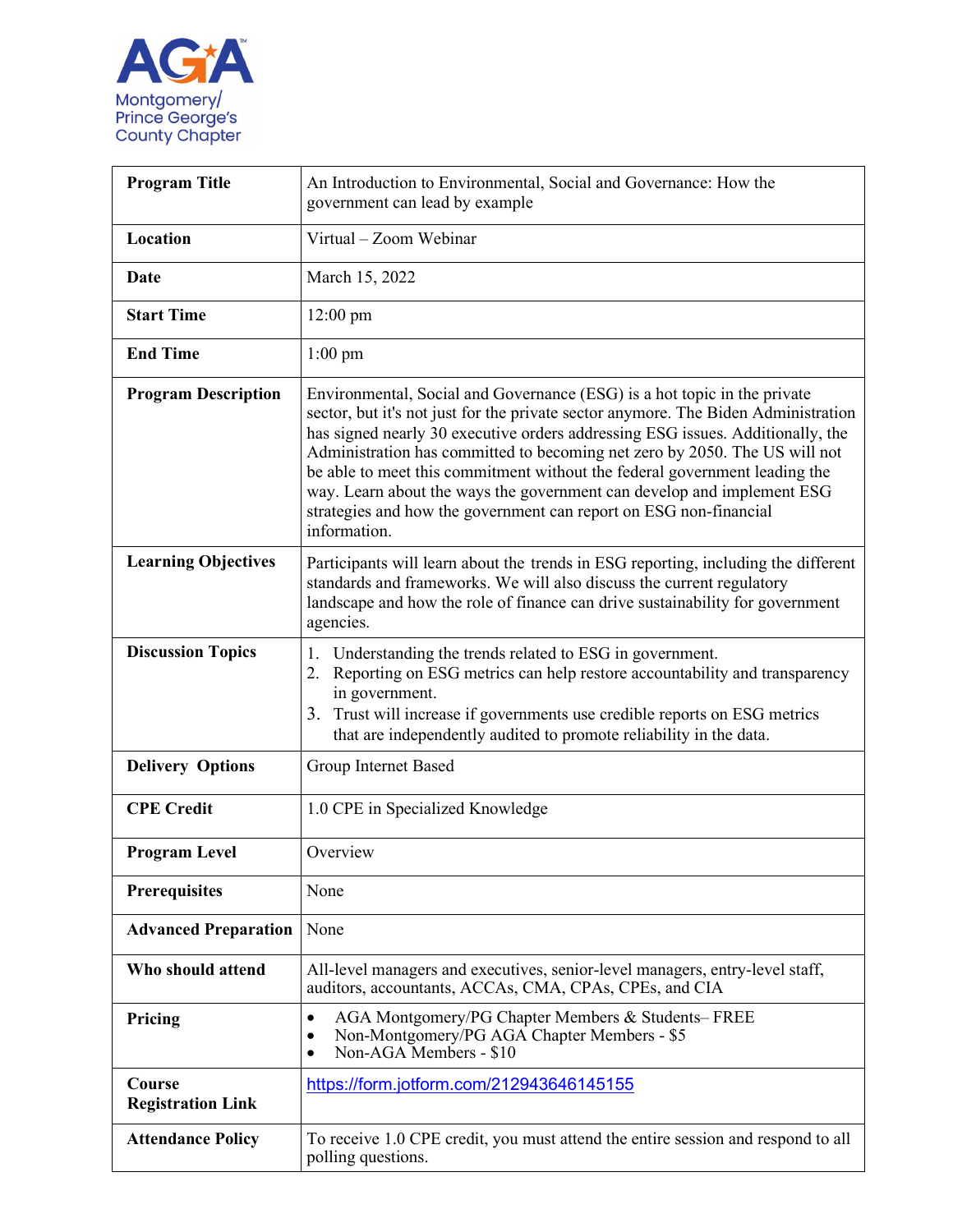

| <b>Program Title</b>               | An Introduction to Environmental, Social and Governance: How the<br>government can lead by example                                                                                                                                                                                                                                                                                                                                                                                                                                                                          |
|------------------------------------|-----------------------------------------------------------------------------------------------------------------------------------------------------------------------------------------------------------------------------------------------------------------------------------------------------------------------------------------------------------------------------------------------------------------------------------------------------------------------------------------------------------------------------------------------------------------------------|
| Location                           | Virtual - Zoom Webinar                                                                                                                                                                                                                                                                                                                                                                                                                                                                                                                                                      |
| Date                               | March 15, 2022                                                                                                                                                                                                                                                                                                                                                                                                                                                                                                                                                              |
| <b>Start Time</b>                  | $12:00 \text{ pm}$                                                                                                                                                                                                                                                                                                                                                                                                                                                                                                                                                          |
| <b>End Time</b>                    | $1:00$ pm                                                                                                                                                                                                                                                                                                                                                                                                                                                                                                                                                                   |
| <b>Program Description</b>         | Environmental, Social and Governance (ESG) is a hot topic in the private<br>sector, but it's not just for the private sector anymore. The Biden Administration<br>has signed nearly 30 executive orders addressing ESG issues. Additionally, the<br>Administration has committed to becoming net zero by 2050. The US will not<br>be able to meet this commitment without the federal government leading the<br>way. Learn about the ways the government can develop and implement ESG<br>strategies and how the government can report on ESG non-financial<br>information. |
| <b>Learning Objectives</b>         | Participants will learn about the trends in ESG reporting, including the different<br>standards and frameworks. We will also discuss the current regulatory<br>landscape and how the role of finance can drive sustainability for government<br>agencies.                                                                                                                                                                                                                                                                                                                   |
| <b>Discussion Topics</b>           | Understanding the trends related to ESG in government.<br>1.<br>Reporting on ESG metrics can help restore accountability and transparency<br>2.<br>in government.<br>3. Trust will increase if governments use credible reports on ESG metrics<br>that are independently audited to promote reliability in the data.                                                                                                                                                                                                                                                        |
| <b>Delivery Options</b>            | Group Internet Based                                                                                                                                                                                                                                                                                                                                                                                                                                                                                                                                                        |
| <b>CPE</b> Credit                  | 1.0 CPE in Specialized Knowledge                                                                                                                                                                                                                                                                                                                                                                                                                                                                                                                                            |
| <b>Program Level</b>               | Overview                                                                                                                                                                                                                                                                                                                                                                                                                                                                                                                                                                    |
| <b>Prerequisites</b>               | None                                                                                                                                                                                                                                                                                                                                                                                                                                                                                                                                                                        |
| <b>Advanced Preparation</b>        | None                                                                                                                                                                                                                                                                                                                                                                                                                                                                                                                                                                        |
| Who should attend                  | All-level managers and executives, senior-level managers, entry-level staff,<br>auditors, accountants, ACCAs, CMA, CPAs, CPEs, and CIA                                                                                                                                                                                                                                                                                                                                                                                                                                      |
| Pricing                            | AGA Montgomery/PG Chapter Members & Students-FREE<br>$\bullet$<br>Non-Montgomery/PG AGA Chapter Members - \$5<br>$\bullet$<br>Non-AGA Members - \$10                                                                                                                                                                                                                                                                                                                                                                                                                        |
| Course<br><b>Registration Link</b> | https://form.jotform.com/212943646145155                                                                                                                                                                                                                                                                                                                                                                                                                                                                                                                                    |
| <b>Attendance Policy</b>           | To receive 1.0 CPE credit, you must attend the entire session and respond to all<br>polling questions.                                                                                                                                                                                                                                                                                                                                                                                                                                                                      |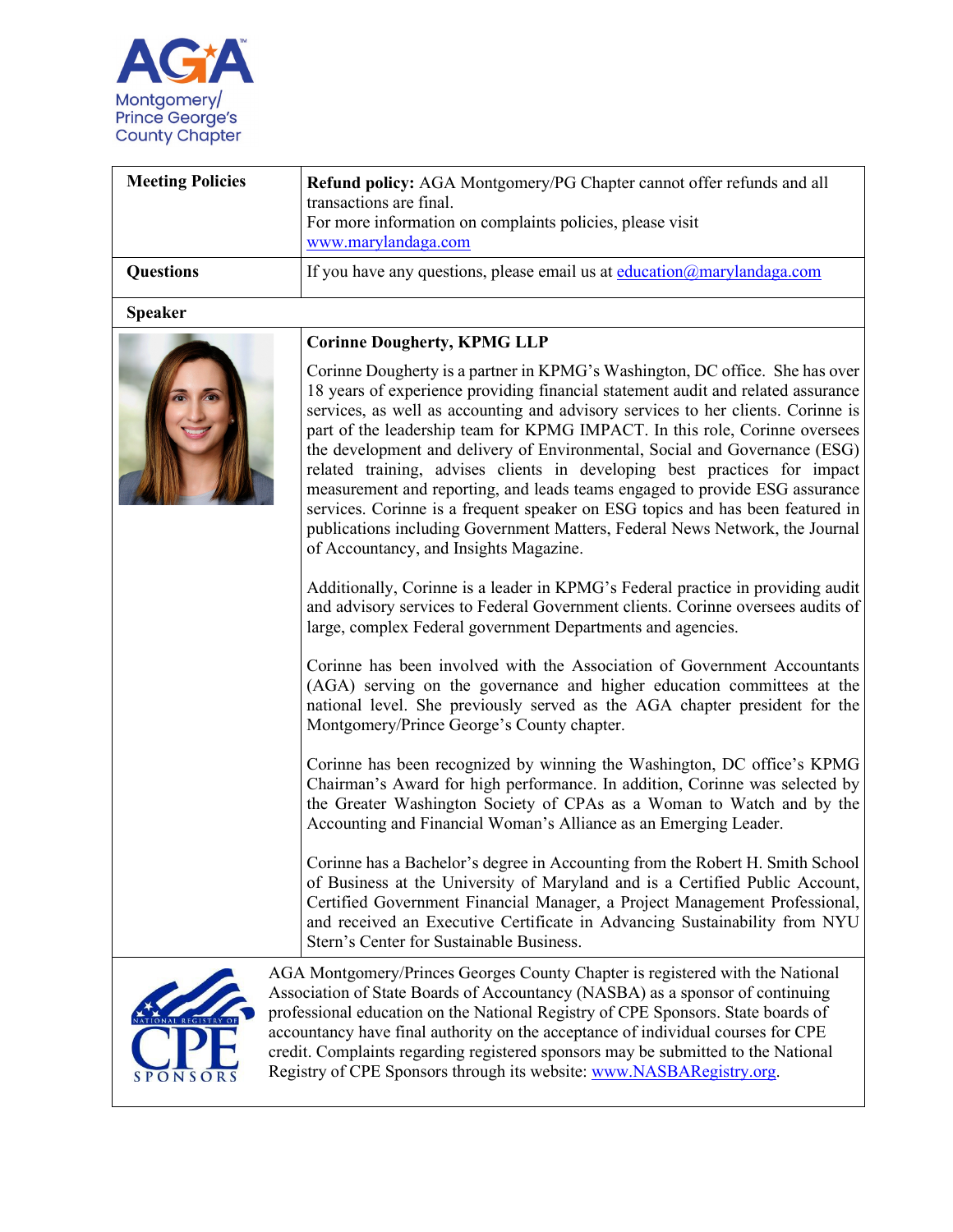

| <b>Meeting Policies</b> | Refund policy: AGA Montgomery/PG Chapter cannot offer refunds and all<br>transactions are final.<br>For more information on complaints policies, please visit<br>www.marylandaga.com                                                                                                                                                                                                                                                                                                                                                                                                                                                                                                                                                                                                                                                                                                                                                                                                                                                                                 |
|-------------------------|----------------------------------------------------------------------------------------------------------------------------------------------------------------------------------------------------------------------------------------------------------------------------------------------------------------------------------------------------------------------------------------------------------------------------------------------------------------------------------------------------------------------------------------------------------------------------------------------------------------------------------------------------------------------------------------------------------------------------------------------------------------------------------------------------------------------------------------------------------------------------------------------------------------------------------------------------------------------------------------------------------------------------------------------------------------------|
| <b>Questions</b>        | If you have any questions, please email us at $eduction@manylandaga.com$                                                                                                                                                                                                                                                                                                                                                                                                                                                                                                                                                                                                                                                                                                                                                                                                                                                                                                                                                                                             |
| <b>Speaker</b>          |                                                                                                                                                                                                                                                                                                                                                                                                                                                                                                                                                                                                                                                                                                                                                                                                                                                                                                                                                                                                                                                                      |
|                         | <b>Corinne Dougherty, KPMG LLP</b><br>Corinne Dougherty is a partner in KPMG's Washington, DC office. She has over<br>18 years of experience providing financial statement audit and related assurance<br>services, as well as accounting and advisory services to her clients. Corinne is<br>part of the leadership team for KPMG IMPACT. In this role, Corinne oversees<br>the development and delivery of Environmental, Social and Governance (ESG)<br>related training, advises clients in developing best practices for impact<br>measurement and reporting, and leads teams engaged to provide ESG assurance<br>services. Corinne is a frequent speaker on ESG topics and has been featured in<br>publications including Government Matters, Federal News Network, the Journal<br>of Accountancy, and Insights Magazine.<br>Additionally, Corinne is a leader in KPMG's Federal practice in providing audit<br>and advisory services to Federal Government clients. Corinne oversees audits of<br>large, complex Federal government Departments and agencies. |
|                         | Corinne has been involved with the Association of Government Accountants<br>(AGA) serving on the governance and higher education committees at the<br>national level. She previously served as the AGA chapter president for the<br>Montgomery/Prince George's County chapter.<br>Corinne has been recognized by winning the Washington, DC office's KPMG<br>Chairman's Award for high performance. In addition, Corinne was selected by<br>the Greater Washington Society of CPAs as a Woman to Watch and by the<br>Accounting and Financial Woman's Alliance as an Emerging Leader.                                                                                                                                                                                                                                                                                                                                                                                                                                                                                |
|                         | Corinne has a Bachelor's degree in Accounting from the Robert H. Smith School<br>of Business at the University of Maryland and is a Certified Public Account,<br>Certified Government Financial Manager, a Project Management Professional,<br>and received an Executive Certificate in Advancing Sustainability from NYU<br>Stern's Center for Sustainable Business.                                                                                                                                                                                                                                                                                                                                                                                                                                                                                                                                                                                                                                                                                                |
| SPONSORS                | AGA Montgomery/Princes Georges County Chapter is registered with the National<br>Association of State Boards of Accountancy (NASBA) as a sponsor of continuing<br>professional education on the National Registry of CPE Sponsors. State boards of<br>accountancy have final authority on the acceptance of individual courses for CPE<br>credit. Complaints regarding registered sponsors may be submitted to the National<br>Registry of CPE Sponsors through its website: www.NASBARegistry.org.                                                                                                                                                                                                                                                                                                                                                                                                                                                                                                                                                                  |